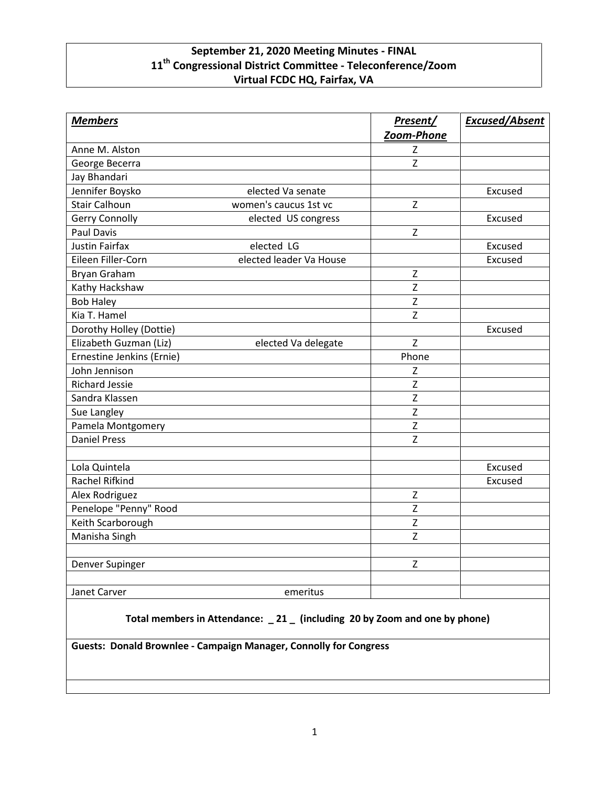## **September 21, 2020 Meeting Minutes - FINAL 11th Congressional District Committee - Teleconference/Zoom Virtual FCDC HQ, Fairfax, VA**

| <b>Members</b>            |                         | Present/     | <b>Excused/Absent</b> |
|---------------------------|-------------------------|--------------|-----------------------|
|                           |                         | Zoom-Phone   |                       |
| Anne M. Alston            |                         | Z.           |                       |
| George Becerra            |                         | Z            |                       |
| Jay Bhandari              |                         |              |                       |
| Jennifer Boysko           | elected Va senate       |              | Excused               |
| <b>Stair Calhoun</b>      | women's caucus 1st vc   | $\mathsf{Z}$ |                       |
| <b>Gerry Connolly</b>     | elected US congress     |              | Excused               |
| <b>Paul Davis</b>         |                         | Z            |                       |
| <b>Justin Fairfax</b>     | elected LG              |              | Excused               |
| Eileen Filler-Corn        | elected leader Va House |              | Excused               |
| Bryan Graham              |                         | Z            |                       |
| Kathy Hackshaw            |                         | Z            |                       |
| <b>Bob Haley</b>          |                         | $\mathsf{Z}$ |                       |
| Kia T. Hamel              |                         | Z            |                       |
| Dorothy Holley (Dottie)   |                         |              | Excused               |
| Elizabeth Guzman (Liz)    | elected Va delegate     | Z            |                       |
| Ernestine Jenkins (Ernie) |                         | Phone        |                       |
| John Jennison             |                         | Z            |                       |
| <b>Richard Jessie</b>     |                         | Z            |                       |
| Sandra Klassen            |                         | $\mathsf Z$  |                       |
| Sue Langley               |                         | Z            |                       |
| Pamela Montgomery         |                         | $\mathsf{Z}$ |                       |
| <b>Daniel Press</b>       |                         | Z            |                       |
|                           |                         |              |                       |
| Lola Quintela             |                         |              | Excused               |
| <b>Rachel Rifkind</b>     |                         |              | Excused               |
| Alex Rodriguez            |                         | Z            |                       |
| Penelope "Penny" Rood     |                         | Z            |                       |
| Keith Scarborough         |                         | $\mathsf Z$  |                       |
| Manisha Singh             |                         | Z            |                       |
|                           |                         |              |                       |
| Denver Supinger           |                         | Z            |                       |
| Janet Carver              | emeritus                |              |                       |
|                           |                         |              |                       |

**Total members in Attendance: \_ 21 \_ (including 20 by Zoom and one by phone)**

**Guests: Donald Brownlee - Campaign Manager, Connolly for Congress**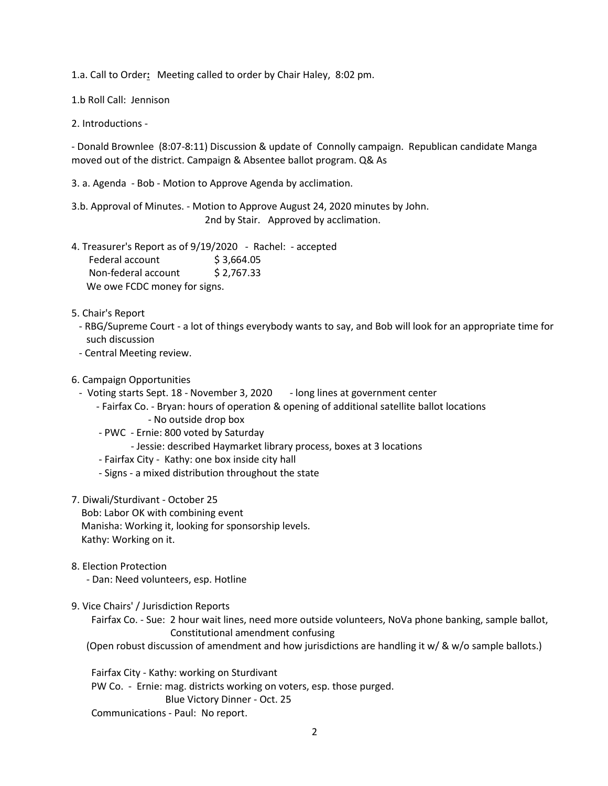1.a. Call to Order**:** Meeting called to order by Chair Haley, 8:02 pm.

1.b Roll Call: Jennison

2. Introductions -

- Donald Brownlee (8:07-8:11) Discussion & update of Connolly campaign. Republican candidate Manga moved out of the district. Campaign & Absentee ballot program. Q& As

3. a. Agenda - Bob - Motion to Approve Agenda by acclimation.

3.b. Approval of Minutes. - Motion to Approve August 24, 2020 minutes by John. 2nd by Stair. Approved by acclimation.

4. Treasurer's Report as of 9/19/2020 - Rachel: - accepted Federal account \$3,664.05 Non-federal account \$2,767.33 We owe FCDC money for signs.

- 5. Chair's Report
	- RBG/Supreme Court a lot of things everybody wants to say, and Bob will look for an appropriate time for such discussion
	- Central Meeting review.
- 6. Campaign Opportunities
	- Voting starts Sept. 18 November 3, 2020 long lines at government center
		- Fairfax Co. Bryan: hours of operation & opening of additional satellite ballot locations - No outside drop box
		- PWC Ernie: 800 voted by Saturday
			- Jessie: described Haymarket library process, boxes at 3 locations
		- Fairfax City Kathy: one box inside city hall
		- Signs a mixed distribution throughout the state
- 7. Diwali/Sturdivant October 25

Bob: Labor OK with combining event Manisha: Working it, looking for sponsorship levels. Kathy: Working on it.

8. Election Protection

- Dan: Need volunteers, esp. Hotline

9. Vice Chairs' / Jurisdiction Reports

Fairfax Co. - Sue: 2 hour wait lines, need more outside volunteers, NoVa phone banking, sample ballot, Constitutional amendment confusing

(Open robust discussion of amendment and how jurisdictions are handling it w/ & w/o sample ballots.)

Fairfax City - Kathy: working on Sturdivant PW Co. - Ernie: mag. districts working on voters, esp. those purged. Blue Victory Dinner - Oct. 25 Communications - Paul: No report.